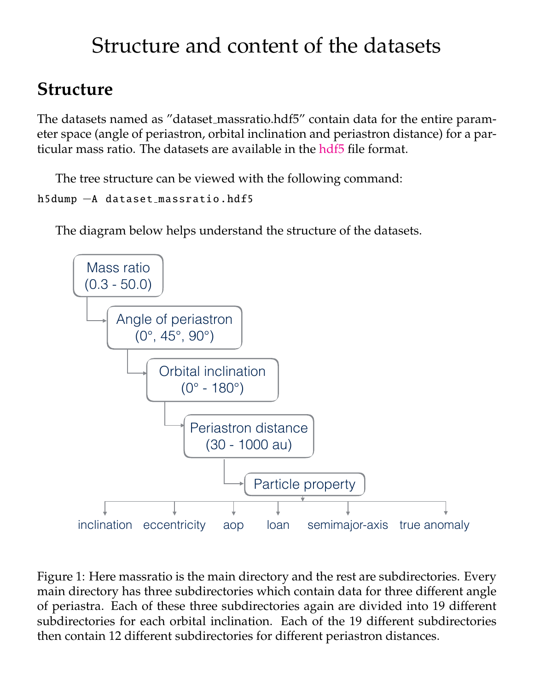# Structure and content of the datasets

#### **Structure**

The datasets named as "dataset massratio.hdf5" contain data for the entire parameter space (angle of periastron, orbital inclination and periastron distance) for a particular mass ratio. The datasets are available in the [hdf5](https://support.hdfgroup.org/HDF5/) file format.

The tree structure can be viewed with the following command:

```
h5dump −A dataset massratio .hdf5
```
The diagram below helps understand the structure of the datasets.



Figure 1: Here massratio is the main directory and the rest are subdirectories. Every main directory has three subdirectories which contain data for three different angle of periastra. Each of these three subdirectories again are divided into 19 different subdirectories for each orbital inclination. Each of the 19 different subdirectories then contain 12 different subdirectories for different periastron distances.